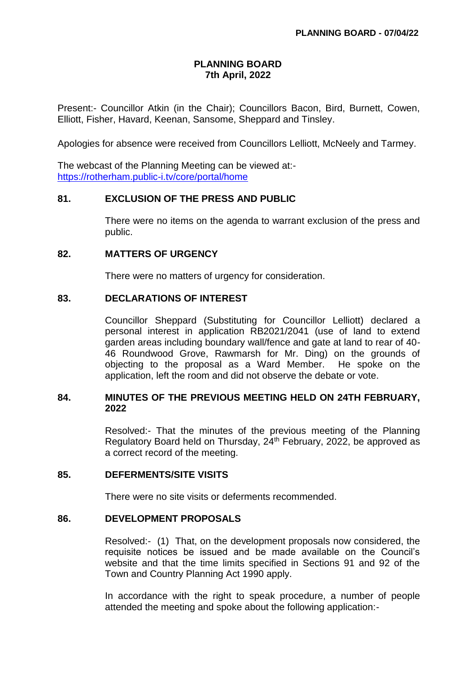# **PLANNING BOARD 7th April, 2022**

Present:- Councillor Atkin (in the Chair); Councillors Bacon, Bird, Burnett, Cowen, Elliott, Fisher, Havard, Keenan, Sansome, Sheppard and Tinsley.

Apologies for absence were received from Councillors Lelliott, McNeely and Tarmey.

The webcast of the Planning Meeting can be viewed at: <https://rotherham.public-i.tv/core/portal/home>

### **81. EXCLUSION OF THE PRESS AND PUBLIC**

There were no items on the agenda to warrant exclusion of the press and public.

#### **82. MATTERS OF URGENCY**

There were no matters of urgency for consideration.

### **83. DECLARATIONS OF INTEREST**

Councillor Sheppard (Substituting for Councillor Lelliott) declared a personal interest in application RB2021/2041 (use of land to extend garden areas including boundary wall/fence and gate at land to rear of 40- 46 Roundwood Grove, Rawmarsh for Mr. Ding) on the grounds of objecting to the proposal as a Ward Member. He spoke on the application, left the room and did not observe the debate or vote.

### **84. MINUTES OF THE PREVIOUS MEETING HELD ON 24TH FEBRUARY, 2022**

Resolved:- That the minutes of the previous meeting of the Planning Regulatory Board held on Thursday, 24<sup>th</sup> February, 2022, be approved as a correct record of the meeting.

#### **85. DEFERMENTS/SITE VISITS**

There were no site visits or deferments recommended.

#### **86. DEVELOPMENT PROPOSALS**

Resolved:- (1) That, on the development proposals now considered, the requisite notices be issued and be made available on the Council's website and that the time limits specified in Sections 91 and 92 of the Town and Country Planning Act 1990 apply.

In accordance with the right to speak procedure, a number of people attended the meeting and spoke about the following application:-